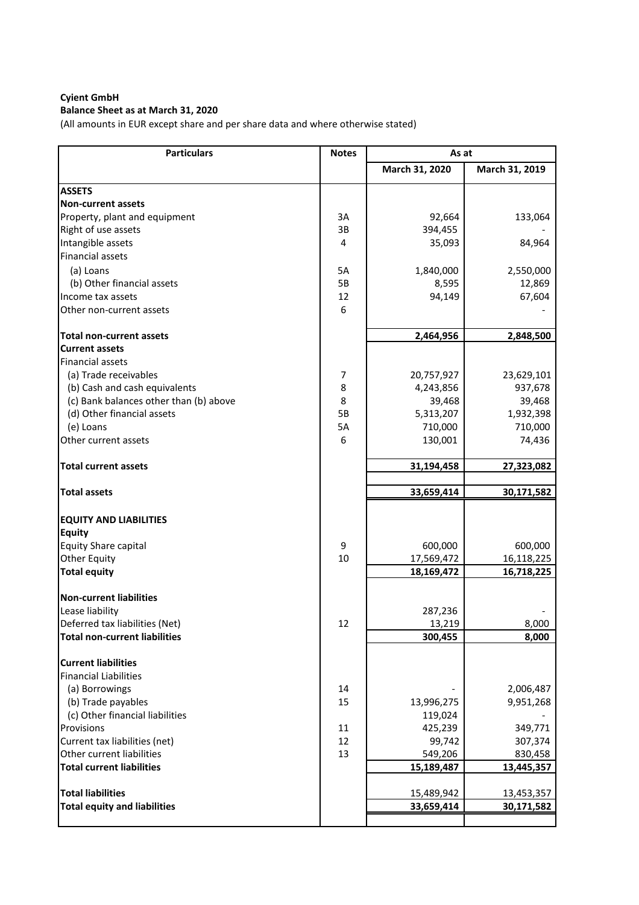# **Balance Sheet as at March 31, 2020**

(All amounts in EUR except share and per share data and where otherwise stated)

| <b>Particulars</b>                     | <b>Notes</b> | As at          |                |
|----------------------------------------|--------------|----------------|----------------|
|                                        |              | March 31, 2020 | March 31, 2019 |
| <b>ASSETS</b>                          |              |                |                |
| <b>Non-current assets</b>              |              |                |                |
| Property, plant and equipment          | 3A           | 92,664         | 133,064        |
| Right of use assets                    | 3B           | 394,455        |                |
| Intangible assets                      | 4            | 35,093         | 84,964         |
| <b>Financial assets</b>                |              |                |                |
| (a) Loans                              | 5A           | 1,840,000      | 2,550,000      |
| (b) Other financial assets             | 5B           | 8,595          | 12,869         |
| Income tax assets                      | 12           | 94,149         | 67,604         |
| Other non-current assets               | 6            |                |                |
| <b>Total non-current assets</b>        |              | 2,464,956      | 2,848,500      |
| <b>Current assets</b>                  |              |                |                |
| <b>Financial assets</b>                |              |                |                |
| (a) Trade receivables                  | 7            | 20,757,927     | 23,629,101     |
| (b) Cash and cash equivalents          | 8            | 4,243,856      | 937,678        |
| (c) Bank balances other than (b) above | 8            | 39,468         | 39,468         |
| (d) Other financial assets             | 5B           | 5,313,207      | 1,932,398      |
| (e) Loans                              | 5A           | 710,000        | 710,000        |
| Other current assets                   | 6            | 130,001        | 74,436         |
| <b>Total current assets</b>            |              | 31,194,458     | 27,323,082     |
| <b>Total assets</b>                    |              | 33,659,414     | 30,171,582     |
|                                        |              |                |                |
| <b>EQUITY AND LIABILITIES</b>          |              |                |                |
| <b>Equity</b>                          |              |                |                |
| Equity Share capital                   | 9            | 600,000        | 600,000        |
| <b>Other Equity</b>                    | 10           | 17,569,472     | 16,118,225     |
| <b>Total equity</b>                    |              | 18,169,472     | 16,718,225     |
| <b>Non-current liabilities</b>         |              |                |                |
| Lease liability                        |              | 287,236        |                |
| Deferred tax liabilities (Net)         | 12           | 13,219         | 8,000          |
| <b>Total non-current liabilities</b>   |              | 300,455        | 8,000          |
| <b>Current liabilities</b>             |              |                |                |
| <b>Financial Liabilities</b>           |              |                |                |
| (a) Borrowings                         | 14           |                | 2,006,487      |
| (b) Trade payables                     | 15           | 13,996,275     | 9,951,268      |
| (c) Other financial liabilities        |              | 119,024        |                |
| Provisions                             | 11           | 425,239        | 349,771        |
| Current tax liabilities (net)          | 12           | 99,742         | 307,374        |
| Other current liabilities              | 13           | 549,206        | 830,458        |
| <b>Total current liabilities</b>       |              | 15,189,487     | 13,445,357     |
| <b>Total liabilities</b>               |              | 15,489,942     | 13,453,357     |
| <b>Total equity and liabilities</b>    |              | 33,659,414     | 30,171,582     |
|                                        |              |                |                |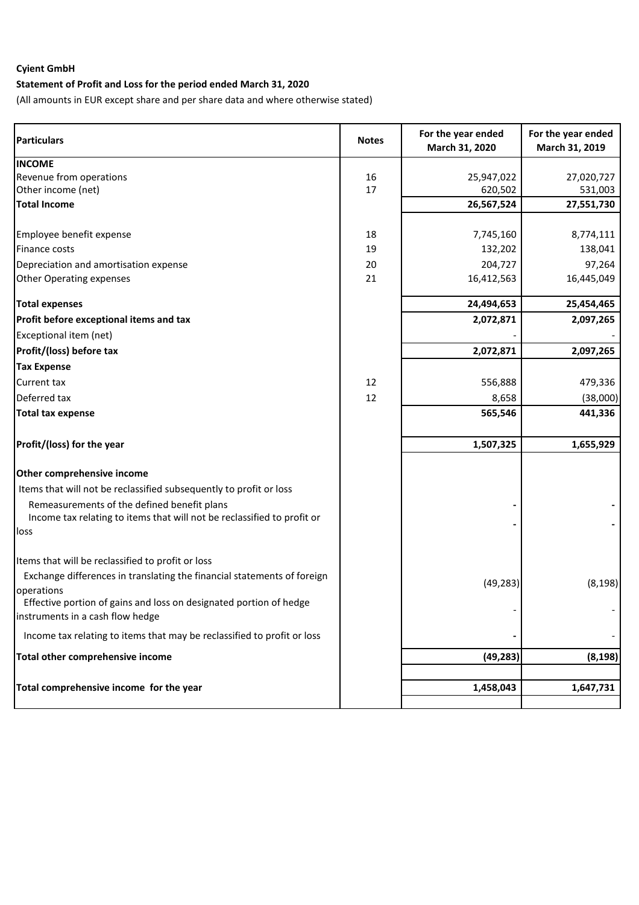# **Statement of Profit and Loss for the period ended March 31, 2020**

(All amounts in EUR except share and per share data and where otherwise stated)

| <b>Particulars</b>                                                                                                     | <b>Notes</b> | For the year ended<br>March 31, 2020 | For the year ended<br>March 31, 2019 |
|------------------------------------------------------------------------------------------------------------------------|--------------|--------------------------------------|--------------------------------------|
| <b>INCOME</b>                                                                                                          |              |                                      |                                      |
| Revenue from operations                                                                                                | 16           | 25,947,022                           | 27,020,727                           |
| Other income (net)                                                                                                     | 17           | 620,502                              | 531,003                              |
| <b>Total Income</b>                                                                                                    |              | 26,567,524                           | 27,551,730                           |
| Employee benefit expense                                                                                               | 18           | 7,745,160                            | 8,774,111                            |
| Finance costs                                                                                                          | 19           | 132,202                              | 138,041                              |
| Depreciation and amortisation expense                                                                                  | 20           | 204,727                              | 97,264                               |
| <b>Other Operating expenses</b>                                                                                        | 21           | 16,412,563                           | 16,445,049                           |
| <b>Total expenses</b>                                                                                                  |              | 24,494,653                           | 25,454,465                           |
| Profit before exceptional items and tax                                                                                |              | 2,072,871                            | 2,097,265                            |
| Exceptional item (net)                                                                                                 |              |                                      |                                      |
| Profit/(loss) before tax                                                                                               |              | 2,072,871                            | 2,097,265                            |
| <b>Tax Expense</b>                                                                                                     |              |                                      |                                      |
| Current tax                                                                                                            | 12           | 556,888                              | 479,336                              |
| Deferred tax                                                                                                           | 12           | 8,658                                | (38,000)                             |
| <b>Total tax expense</b>                                                                                               |              | 565,546                              | 441,336                              |
| Profit/(loss) for the year                                                                                             |              | 1,507,325                            | 1,655,929                            |
| Other comprehensive income                                                                                             |              |                                      |                                      |
| Items that will not be reclassified subsequently to profit or loss                                                     |              |                                      |                                      |
| Remeasurements of the defined benefit plans<br>Income tax relating to items that will not be reclassified to profit or |              |                                      |                                      |
| loss                                                                                                                   |              |                                      |                                      |
| Items that will be reclassified to profit or loss                                                                      |              |                                      |                                      |
| Exchange differences in translating the financial statements of foreign<br>operations                                  |              | (49, 283)                            | (8, 198)                             |
| Effective portion of gains and loss on designated portion of hedge                                                     |              |                                      |                                      |
| instruments in a cash flow hedge                                                                                       |              |                                      |                                      |
| Income tax relating to items that may be reclassified to profit or loss                                                |              |                                      |                                      |
| Total other comprehensive income                                                                                       |              | (49, 283)                            | (8, 198)                             |
|                                                                                                                        |              |                                      |                                      |
| Total comprehensive income for the year                                                                                |              | 1,458,043                            | 1,647,731                            |
|                                                                                                                        |              |                                      |                                      |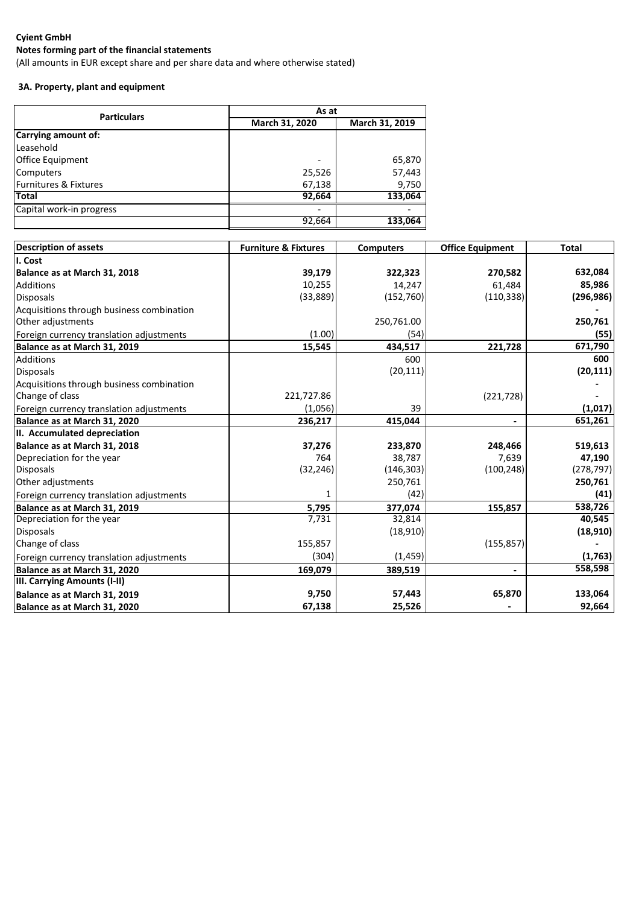## **Notes forming part of the financial statements**

(All amounts in EUR except share and per share data and where otherwise stated)

# **3A. Property, plant and equipment**

| <b>Particulars</b>       | As at          |                |  |
|--------------------------|----------------|----------------|--|
|                          | March 31, 2020 | March 31, 2019 |  |
| Carrying amount of:      |                |                |  |
| Leasehold                |                |                |  |
| Office Equipment         | -              | 65,870         |  |
| <b>Computers</b>         | 25,526         | 57,443         |  |
| Furnitures & Fixtures    | 67,138         | 9,750          |  |
| Total                    | 92,664         | 133,064        |  |
| Capital work-in progress |                |                |  |
|                          | 92,664         | 133,064        |  |

| <b>Description of assets</b>              | <b>Furniture &amp; Fixtures</b> | <b>Computers</b> | <b>Office Equipment</b> | <b>Total</b> |
|-------------------------------------------|---------------------------------|------------------|-------------------------|--------------|
| I. Cost                                   |                                 |                  |                         |              |
| Balance as at March 31, 2018              | 39,179                          | 322,323          | 270,582                 | 632,084      |
| <b>Additions</b>                          | 10,255                          | 14,247           | 61,484                  | 85,986       |
| <b>Disposals</b>                          | (33,889)                        | (152, 760)       | (110, 338)              | (296, 986)   |
| Acquisitions through business combination |                                 |                  |                         |              |
| Other adjustments                         |                                 | 250,761.00       |                         | 250,761      |
| Foreign currency translation adjustments  | (1.00)                          | (54)             |                         | (55)         |
| Balance as at March 31, 2019              | 15,545                          | 434,517          | 221,728                 | 671,790      |
| Additions                                 |                                 | 600              |                         | 600          |
| <b>Disposals</b>                          |                                 | (20, 111)        |                         | (20, 111)    |
| Acquisitions through business combination |                                 |                  |                         |              |
| Change of class                           | 221,727.86                      |                  | (221, 728)              |              |
| Foreign currency translation adjustments  | (1,056)                         | 39               |                         | (1,017)      |
| Balance as at March 31, 2020              | 236,217                         | 415,044          | $\blacksquare$          | 651,261      |
| II. Accumulated depreciation              |                                 |                  |                         |              |
| Balance as at March 31, 2018              | 37,276                          | 233,870          | 248,466                 | 519,613      |
| Depreciation for the year                 | 764                             | 38,787           | 7,639                   | 47,190       |
| <b>Disposals</b>                          | (32, 246)                       | (146, 303)       | (100, 248)              | (278, 797)   |
| Other adjustments                         |                                 | 250,761          |                         | 250,761      |
| Foreign currency translation adjustments  | 1                               | (42)             |                         | (41)         |
| Balance as at March 31, 2019              | 5,795                           | 377,074          | 155,857                 | 538,726      |
| Depreciation for the year                 | 7,731                           | 32,814           |                         | 40,545       |
| <b>Disposals</b>                          |                                 | (18, 910)        |                         | (18, 910)    |
| Change of class                           | 155,857                         |                  | (155, 857)              |              |
| Foreign currency translation adjustments  | (304)                           | (1, 459)         |                         | (1,763)      |
| Balance as at March 31, 2020              | 169,079                         | 389,519          | $\blacksquare$          | 558,598      |
| III. Carrying Amounts (I-II)              |                                 |                  |                         |              |
| Balance as at March 31, 2019              | 9,750                           | 57,443           | 65,870                  | 133,064      |
| Balance as at March 31, 2020              | 67,138                          | 25,526           |                         | 92,664       |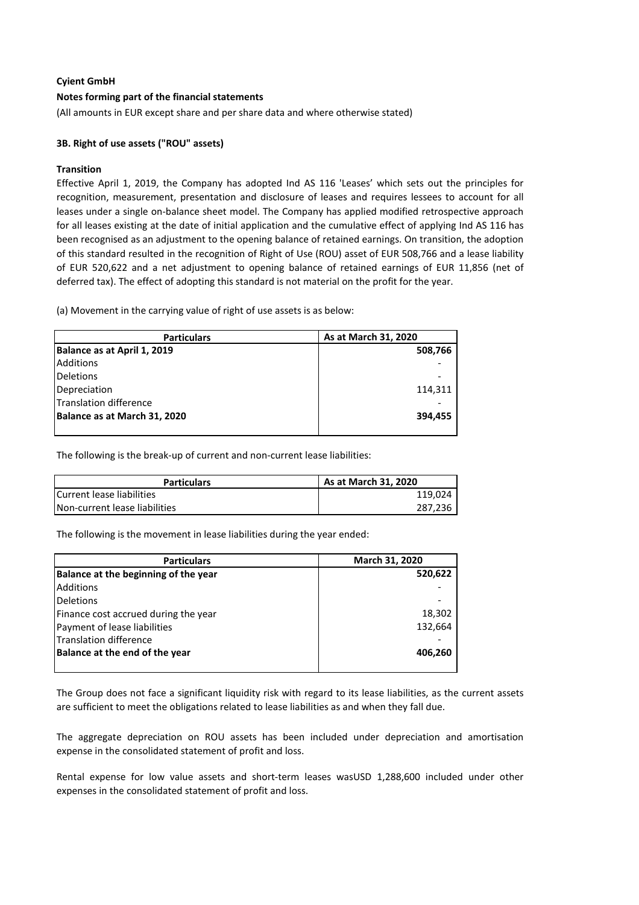#### **Notes forming part of the financial statements**

(All amounts in EUR except share and per share data and where otherwise stated)

#### **3B. Right of use assets ("ROU" assets)**

#### **Transition**

Effective April 1, 2019, the Company has adopted Ind AS 116 'Leases' which sets out the principles for recognition, measurement, presentation and disclosure of leases and requires lessees to account for all leases under a single on-balance sheet model. The Company has applied modified retrospective approach for all leases existing at the date of initial application and the cumulative effect of applying Ind AS 116 has been recognised as an adjustment to the opening balance of retained earnings. On transition, the adoption of this standard resulted in the recognition of Right of Use (ROU) asset of EUR 508,766 and a lease liability of EUR 520,622 and a net adjustment to opening balance of retained earnings of EUR 11,856 (net of deferred tax). The effect of adopting this standard is not material on the profit for the year.

(a) Movement in the carrying value of right of use assets is as below:

| <b>Particulars</b>           | As at March 31, 2020 |
|------------------------------|----------------------|
| Balance as at April 1, 2019  | 508,766              |
| <b>Additions</b>             |                      |
| <b>Deletions</b>             |                      |
| Depreciation                 | 114,311              |
| Translation difference       |                      |
| Balance as at March 31, 2020 | 394.455              |
|                              |                      |

The following is the break-up of current and non-current lease liabilities:

| <b>Particulars</b>            | As at March 31, 2020 |
|-------------------------------|----------------------|
| Current lease liabilities     | 119,024              |
| Non-current lease liabilities | 287.236              |

The following is the movement in lease liabilities during the year ended:

| <b>Particulars</b>                   | March 31, 2020 |  |
|--------------------------------------|----------------|--|
| Balance at the beginning of the year | 520,622        |  |
| <b>Additions</b>                     |                |  |
| <b>Deletions</b>                     |                |  |
| Finance cost accrued during the year | 18,302         |  |
| Payment of lease liabilities         | 132,664        |  |
| <b>Translation difference</b>        |                |  |
| Balance at the end of the year       | 406,260        |  |
|                                      |                |  |

The Group does not face a significant liquidity risk with regard to its lease liabilities, as the current assets are sufficient to meet the obligations related to lease liabilities as and when they fall due.

The aggregate depreciation on ROU assets has been included under depreciation and amortisation expense in the consolidated statement of profit and loss.

Rental expense for low value assets and short-term leases wasUSD 1,288,600 included under other expenses in the consolidated statement of profit and loss.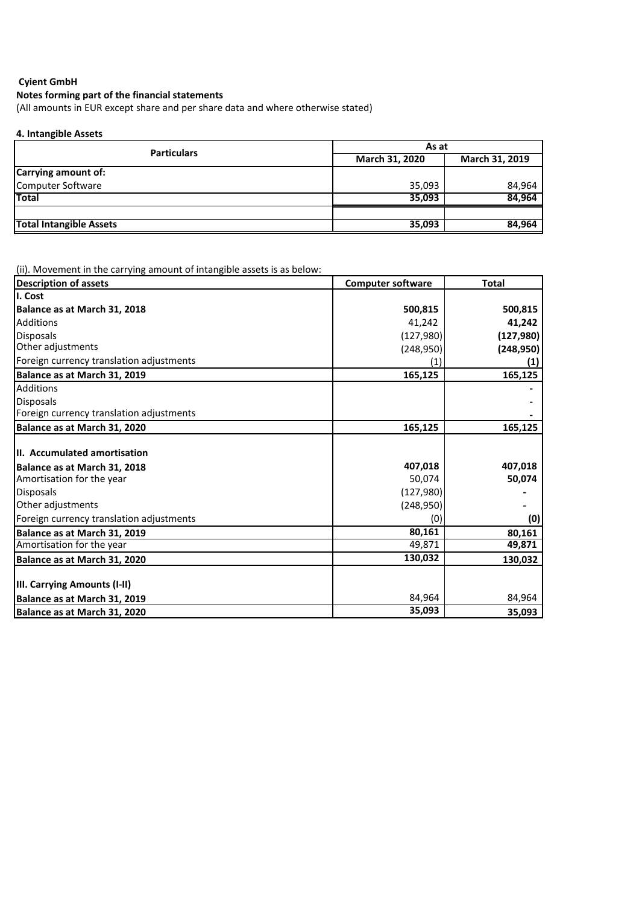# **Notes forming part of the financial statements**

(All amounts in EUR except share and per share data and where otherwise stated)

### **4. Intangible Assets**

| <b>Particulars</b>             | As at                 |                |  |
|--------------------------------|-----------------------|----------------|--|
|                                | <b>March 31, 2020</b> | March 31, 2019 |  |
| Carrying amount of:            |                       |                |  |
| Computer Software              | 35,093                | 84,964         |  |
| <b>Total</b>                   | 35,093                | 84,964         |  |
|                                |                       |                |  |
| <b>Total Intangible Assets</b> | 35,093                | 84,964         |  |

(ii). Movement in the carrying amount of intangible assets is as below:

| <b>Description of assets</b>             | <b>Computer software</b> | <b>Total</b> |
|------------------------------------------|--------------------------|--------------|
| I. Cost                                  |                          |              |
| Balance as at March 31, 2018             | 500,815                  | 500,815      |
| Additions                                | 41,242                   | 41,242       |
| <b>Disposals</b>                         | (127, 980)               | (127, 980)   |
| Other adjustments                        | (248,950)                | (248, 950)   |
| Foreign currency translation adjustments | (1)                      | (1)          |
| Balance as at March 31, 2019             | 165,125                  | 165,125      |
| <b>Additions</b>                         |                          |              |
| <b>Disposals</b>                         |                          |              |
| Foreign currency translation adjustments |                          |              |
| Balance as at March 31, 2020             | 165,125                  | 165,125      |
| III. Accumulated amortisation            |                          |              |
| Balance as at March 31, 2018             | 407,018                  | 407,018      |
| Amortisation for the year                | 50,074                   | 50,074       |
| <b>Disposals</b>                         | (127,980)                |              |
| Other adjustments                        | (248,950)                |              |
| Foreign currency translation adjustments | (0)                      | (0)          |
| Balance as at March 31, 2019             | 80,161                   | 80,161       |
| Amortisation for the year                | 49,871                   | 49,871       |
| Balance as at March 31, 2020             | 130,032                  | 130,032      |
|                                          |                          |              |
| III. Carrying Amounts (I-II)             |                          |              |
| Balance as at March 31, 2019             | 84,964                   | 84,964       |
| Balance as at March 31, 2020             | 35,093                   | 35,093       |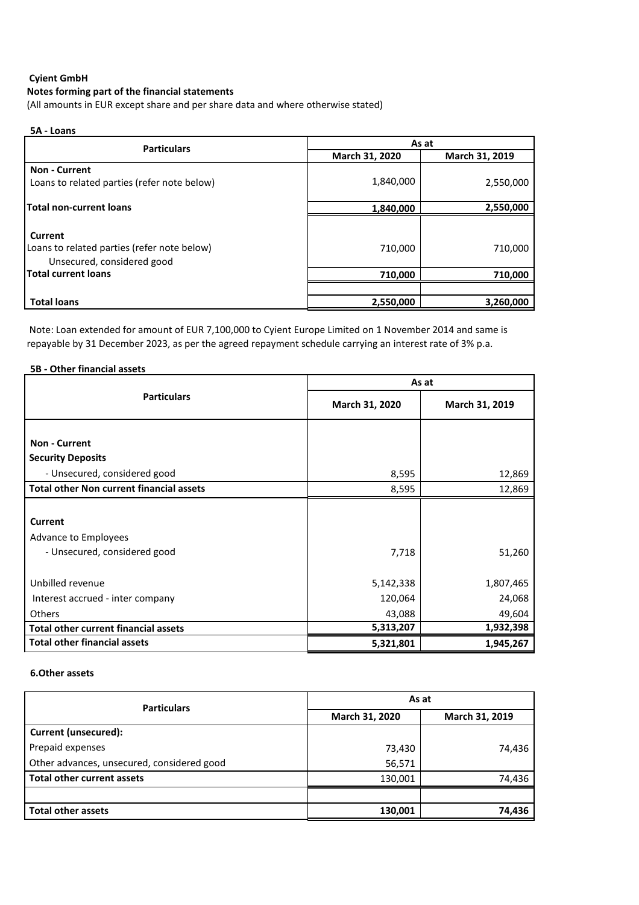### **Cyient GmbH Notes forming part of the financial statements**

(All amounts in EUR except share and per share data and where otherwise stated)

## **5A - Loans**

| <b>Particulars</b>                                                                   | As at          |                |  |
|--------------------------------------------------------------------------------------|----------------|----------------|--|
|                                                                                      | March 31, 2020 | March 31, 2019 |  |
| <b>Non - Current</b><br>Loans to related parties (refer note below)                  | 1,840,000      | 2,550,000      |  |
| <b>Total non-current loans</b>                                                       | 1,840,000      | 2,550,000      |  |
| Current<br>Loans to related parties (refer note below)<br>Unsecured, considered good | 710,000        | 710,000        |  |
| <b>Total current loans</b>                                                           | 710,000        | 710,000        |  |
|                                                                                      |                |                |  |
| <b>Total loans</b>                                                                   | 2,550,000      | 3,260,000      |  |

 Note: Loan extended for amount of EUR 7,100,000 to Cyient Europe Limited on 1 November 2014 and same is repayable by 31 December 2023, as per the agreed repayment schedule carrying an interest rate of 3% p.a.

|  | 5B - Other financial assets |  |
|--|-----------------------------|--|
|  |                             |  |

|                                                 | As at          |                |  |
|-------------------------------------------------|----------------|----------------|--|
| <b>Particulars</b>                              | March 31, 2020 | March 31, 2019 |  |
|                                                 |                |                |  |
| <b>Non - Current</b>                            |                |                |  |
| <b>Security Deposits</b>                        |                |                |  |
| - Unsecured, considered good                    | 8,595          | 12,869         |  |
| <b>Total other Non current financial assets</b> | 8,595          | 12,869         |  |
|                                                 |                |                |  |
| Current                                         |                |                |  |
| Advance to Employees                            |                |                |  |
| - Unsecured, considered good                    | 7,718          | 51,260         |  |
|                                                 |                |                |  |
| Unbilled revenue                                | 5,142,338      | 1,807,465      |  |
| Interest accrued - inter company                | 120,064        | 24,068         |  |
| Others                                          | 43,088         | 49,604         |  |
| <b>Total other current financial assets</b>     | 5,313,207      | 1,932,398      |  |
| <b>Total other financial assets</b>             | 5,321,801      | 1,945,267      |  |

#### **6.Other assets**

| <b>Particulars</b>                         | As at          |                |
|--------------------------------------------|----------------|----------------|
|                                            | March 31, 2020 | March 31, 2019 |
| <b>Current (unsecured):</b>                |                |                |
| Prepaid expenses                           | 73,430         | 74,436         |
| Other advances, unsecured, considered good | 56,571         |                |
| Total other current assets                 | 130,001        | 74,436         |
|                                            |                |                |
| <b>Total other assets</b>                  | 130,001        | 74,436         |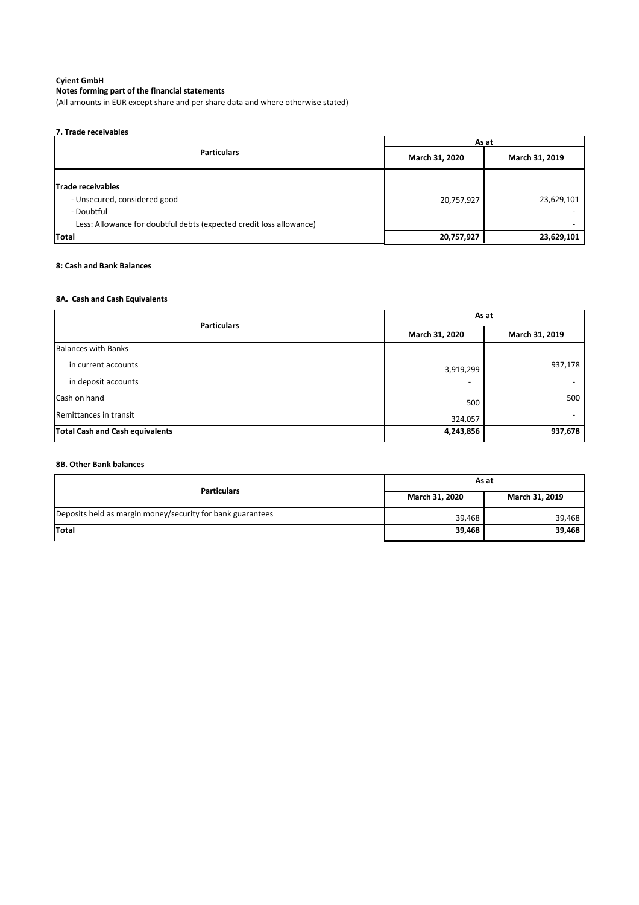# **Notes forming part of the financial statements**

(All amounts in EUR except share and per share data and where otherwise stated)

| 7. Trade receivables                                                                                                                   |                |                |  |
|----------------------------------------------------------------------------------------------------------------------------------------|----------------|----------------|--|
|                                                                                                                                        |                | As at          |  |
| <b>Particulars</b>                                                                                                                     | March 31, 2020 | March 31, 2019 |  |
| Trade receivables<br>- Unsecured, considered good<br>- Doubtful<br>Less: Allowance for doubtful debts (expected credit loss allowance) | 20,757,927     | 23,629,101     |  |
| Total                                                                                                                                  | 20,757,927     | 23,629,101     |  |

# **8: Cash and Bank Balances**

# **8A. Cash and Cash Equivalents**

| <b>Particulars</b>                     | As at          |                |
|----------------------------------------|----------------|----------------|
|                                        | March 31, 2020 | March 31, 2019 |
| <b>Balances with Banks</b>             |                |                |
| in current accounts                    | 3,919,299      | 937,178        |
| in deposit accounts                    |                |                |
| <b>Cash on hand</b>                    | 500            | 500            |
| Remittances in transit                 | 324,057        |                |
| <b>Total Cash and Cash equivalents</b> | 4,243,856      | 937,678        |

# **8B. Other Bank balances**

| <b>Particulars</b>                                         | As at          |                |
|------------------------------------------------------------|----------------|----------------|
|                                                            | March 31, 2020 | March 31, 2019 |
| Deposits held as margin money/security for bank guarantees | 39,468         | 39,468         |
| <b>Total</b>                                               | 39,468         | 39,468         |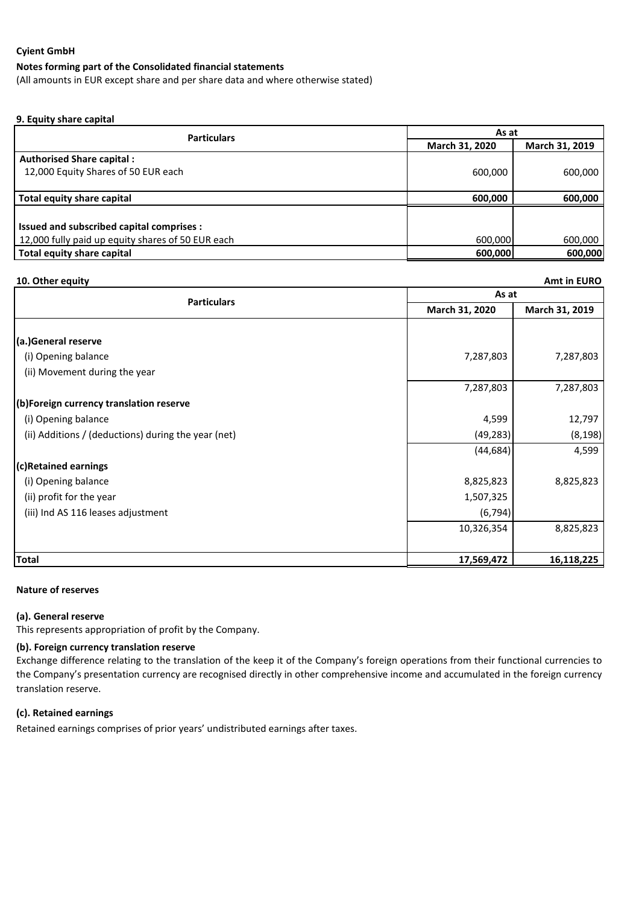#### **Notes forming part of the Consolidated financial statements**

(All amounts in EUR except share and per share data and where otherwise stated)

#### **9. Equity share capital**

| <b>Particulars</b>                                | As at                            |         |  |
|---------------------------------------------------|----------------------------------|---------|--|
|                                                   | March 31, 2019<br>March 31, 2020 |         |  |
| <b>Authorised Share capital:</b>                  |                                  |         |  |
| 12,000 Equity Shares of 50 EUR each               | 600,000                          | 600,000 |  |
|                                                   |                                  |         |  |
| Total equity share capital                        | 600.000                          | 600,000 |  |
|                                                   |                                  |         |  |
| Issued and subscribed capital comprises :         |                                  |         |  |
| 12,000 fully paid up equity shares of 50 EUR each | 600,000                          | 600,000 |  |
| Total equity share capital                        | 600,000                          | 600,000 |  |

| 10. Other equity                                    |                | <b>Amt in EURO</b> |  |  |
|-----------------------------------------------------|----------------|--------------------|--|--|
| <b>Particulars</b>                                  |                | As at              |  |  |
|                                                     | March 31, 2020 | March 31, 2019     |  |  |
|                                                     |                |                    |  |  |
| (a.)General reserve                                 |                |                    |  |  |
| (i) Opening balance                                 | 7,287,803      | 7,287,803          |  |  |
| (ii) Movement during the year                       |                |                    |  |  |
|                                                     | 7,287,803      | 7,287,803          |  |  |
| (b)Foreign currency translation reserve             |                |                    |  |  |
| (i) Opening balance                                 | 4,599          | 12,797             |  |  |
| (ii) Additions / (deductions) during the year (net) | (49, 283)      | (8, 198)           |  |  |
|                                                     | (44, 684)      | 4,599              |  |  |
| (c)Retained earnings                                |                |                    |  |  |
| (i) Opening balance                                 | 8,825,823      | 8,825,823          |  |  |
| (ii) profit for the year                            | 1,507,325      |                    |  |  |
| (iii) Ind AS 116 leases adjustment                  | (6, 794)       |                    |  |  |
|                                                     | 10,326,354     | 8,825,823          |  |  |
|                                                     |                |                    |  |  |
| <b>Total</b>                                        | 17,569,472     | 16,118,225         |  |  |

#### **Nature of reserves**

#### **(a). General reserve**

This represents appropriation of profit by the Company.

#### **(b). Foreign currency translation reserve**

Exchange difference relating to the translation of the keep it of the Company's foreign operations from their functional currencies to the Company's presentation currency are recognised directly in other comprehensive income and accumulated in the foreign currency translation reserve.

## **(c). Retained earnings**

Retained earnings comprises of prior years' undistributed earnings after taxes.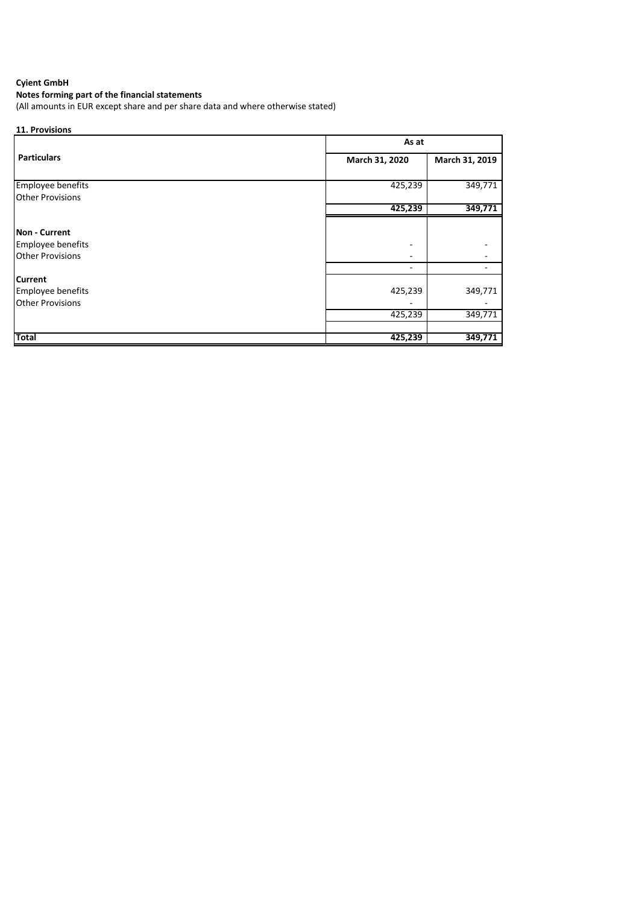# **Notes forming part of the financial statements**

(All amounts in EUR except share and per share data and where otherwise stated)

| 11. Provisions                               |                |                |  |
|----------------------------------------------|----------------|----------------|--|
|                                              | As at          |                |  |
| <b>Particulars</b>                           | March 31, 2020 | March 31, 2019 |  |
| <b>Employee benefits</b>                     | 425,239        | 349,771        |  |
| <b>Other Provisions</b>                      | 425,239        | 349,771        |  |
| <b>Non - Current</b>                         |                |                |  |
| Employee benefits<br><b>Other Provisions</b> |                |                |  |
| <b>Current</b>                               |                |                |  |
| Employee benefits<br><b>Other Provisions</b> | 425,239        | 349,771        |  |
|                                              | 425,239        | 349,771        |  |
| <b>Total</b>                                 | 425,239        | 349,771        |  |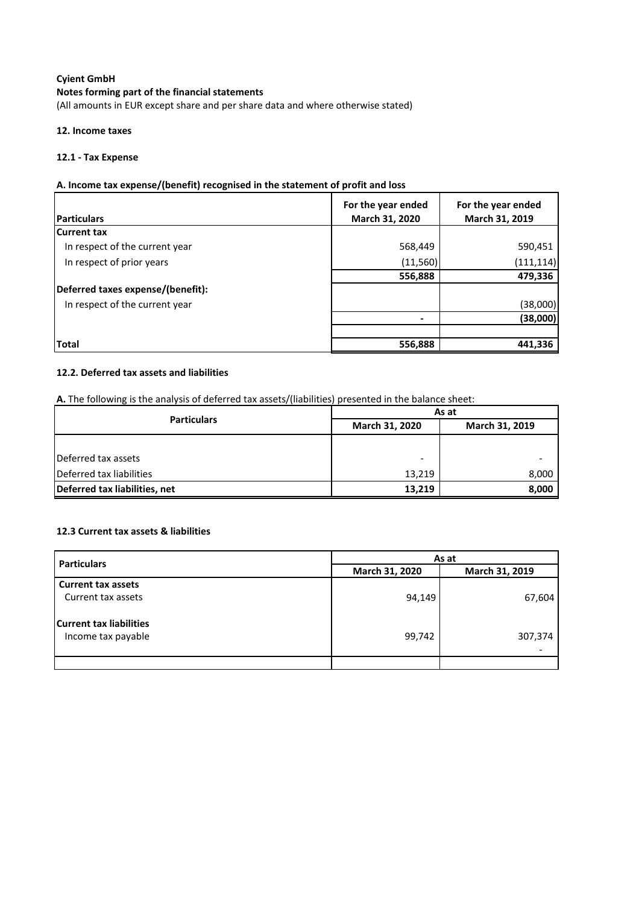## **Notes forming part of the financial statements**

(All amounts in EUR except share and per share data and where otherwise stated)

#### **12. Income taxes**

#### **12.1 - Tax Expense**

## **A. Income tax expense/(benefit) recognised in the statement of profit and loss**

|                                   | For the year ended       | For the year ended |
|-----------------------------------|--------------------------|--------------------|
| <b>Particulars</b>                | March 31, 2020           | March 31, 2019     |
| <b>Current tax</b>                |                          |                    |
| In respect of the current year    | 568,449                  | 590,451            |
| In respect of prior years         | (11, 560)                | (111, 114)         |
|                                   | 556,888                  | 479,336            |
| Deferred taxes expense/(benefit): |                          |                    |
| In respect of the current year    |                          | (38,000)           |
|                                   | $\overline{\phantom{0}}$ | (38,000)           |
|                                   |                          |                    |
| <b>Total</b>                      | 556,888                  | 441,336            |

## **12.2. Deferred tax assets and liabilities**

**A.** The following is the analysis of deferred tax assets/(liabilities) presented in the balance sheet:

| <b>Particulars</b>            | As at                                   |       |
|-------------------------------|-----------------------------------------|-------|
|                               | <b>March 31, 2020</b><br>March 31, 2019 |       |
|                               |                                         |       |
| Deferred tax assets           | $\overline{\phantom{0}}$                |       |
| Deferred tax liabilities      | 13,219                                  | 8,000 |
| Deferred tax liabilities, net | 13,219                                  | 8,000 |

#### **12.3 Current tax assets & liabilities**

| <b>Particulars</b>                                   | As at          |                |
|------------------------------------------------------|----------------|----------------|
|                                                      | March 31, 2020 | March 31, 2019 |
| <b>Current tax assets</b>                            |                |                |
| Current tax assets                                   | 94,149         | 67,604         |
| <b>Current tax liabilities</b><br>Income tax payable | 99,742         | 307,374        |
|                                                      |                |                |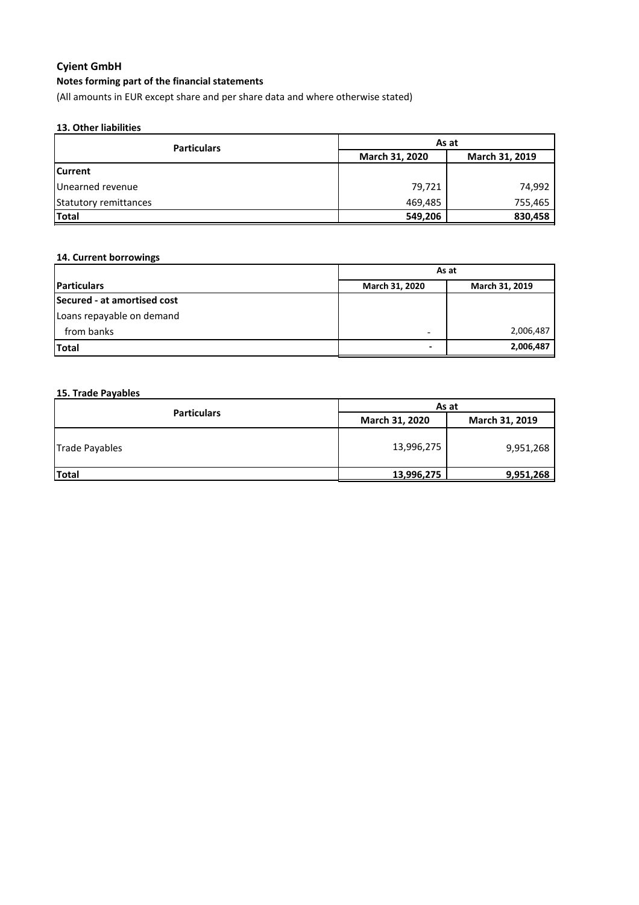# **Notes forming part of the financial statements**

(All amounts in EUR except share and per share data and where otherwise stated)

### **13. Other liabilities**

| <b>Particulars</b>    | As at          |                |
|-----------------------|----------------|----------------|
|                       | March 31, 2020 | March 31, 2019 |
| <b>ICurrent</b>       |                |                |
| Unearned revenue      | 79,721         | 74,992         |
| Statutory remittances | 469,485        | 755,465        |
| Total                 | 549,206        | 830,458        |

# **14. Current borrowings**

|                             | As at          |                |
|-----------------------------|----------------|----------------|
| <b>Particulars</b>          | March 31, 2020 | March 31, 2019 |
| Secured - at amortised cost |                |                |
| Loans repayable on demand   |                |                |
| from banks                  |                | 2,006,487      |
| <b>Total</b>                | -              | 2,006,487      |

#### **15. Trade Payables**

| <b>Particulars</b>    | As at          |                |
|-----------------------|----------------|----------------|
|                       | March 31, 2020 | March 31, 2019 |
| <b>Trade Payables</b> | 13,996,275     | 9,951,268      |
| <b>Total</b>          | 13,996,275     | 9,951,268      |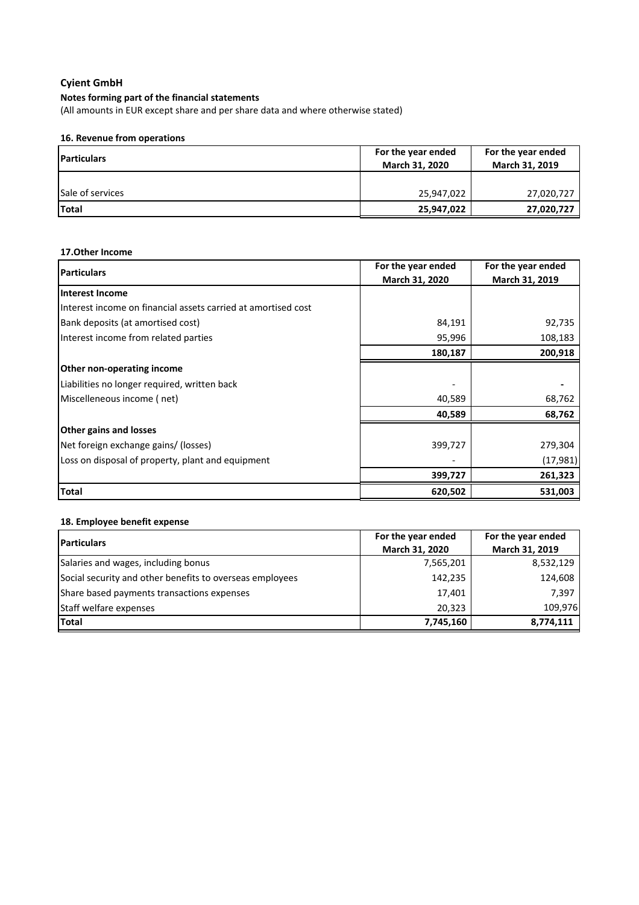# **Notes forming part of the financial statements**

(All amounts in EUR except share and per share data and where otherwise stated)

# **16. Revenue from operations**

| <b>IParticulars</b>     | For the year ended | For the year ended |
|-------------------------|--------------------|--------------------|
|                         | March 31, 2020     | March 31, 2019     |
|                         |                    |                    |
| <b>Sale of services</b> | 25,947,022         | 27,020,727         |
| Total                   | 25,947,022         | 27,020,727         |

# **17.Other Income**

| <b>Particulars</b>                                            | For the year ended | For the year ended |
|---------------------------------------------------------------|--------------------|--------------------|
|                                                               | March 31, 2020     | March 31, 2019     |
| <b>Interest Income</b>                                        |                    |                    |
| Interest income on financial assets carried at amortised cost |                    |                    |
| Bank deposits (at amortised cost)                             | 84,191             | 92,735             |
| Interest income from related parties                          | 95,996             | 108,183            |
|                                                               | 180,187            | 200,918            |
| Other non-operating income                                    |                    |                    |
| Liabilities no longer required, written back                  |                    |                    |
| Miscelleneous income (net)                                    | 40,589             | 68,762             |
|                                                               | 40,589             | 68,762             |
| <b>Other gains and losses</b>                                 |                    |                    |
| Net foreign exchange gains/ (losses)                          | 399,727            | 279,304            |
| Loss on disposal of property, plant and equipment             |                    | (17, 981)          |
|                                                               | 399,727            | 261,323            |
| <b>Total</b>                                                  | 620,502            | 531,003            |

# **18. Employee benefit expense**

| <b>IParticulars</b>                                      | For the year ended | For the year ended |
|----------------------------------------------------------|--------------------|--------------------|
|                                                          | March 31, 2020     | March 31, 2019     |
| Salaries and wages, including bonus                      | 7,565,201          | 8,532,129          |
| Social security and other benefits to overseas employees | 142,235            | 124,608            |
| Share based payments transactions expenses               | 17,401             | 7,397              |
| Staff welfare expenses                                   | 20.323             | 109.976            |
| Total                                                    | 7,745,160          | 8,774,111          |